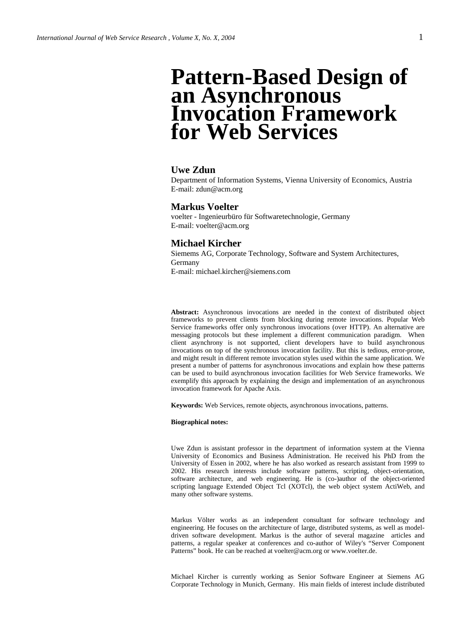# **Pattern-Based Design of an Asynchronous Invocation Framework for Web Services**

### **Uwe Zdun**

Department of Information Systems, Vienna University of Economics, Austria E-mail: zdun@acm.org

### **Markus Voelter**

voelter - Ingenieurbüro für Softwaretechnologie, Germany E-mail: voelter@acm.org

### **Michael Kircher**

Siemems AG, Corporate Technology, Software and System Architectures, Germany E-mail: michael.kircher@siemens.com

**Abstract:** Asynchronous invocations are needed in the context of distributed object frameworks to prevent clients from blocking during remote invocations. Popular Web Service frameworks offer only synchronous invocations (over HTTP). An alternative are messaging protocols but these implement a different communication paradigm. When client asynchrony is not supported, client developers have to build asynchronous invocations on top of the synchronous invocation facility. But this is tedious, error-prone, and might result in different remote invocation styles used within the same application. We present a number of patterns for asynchronous invocations and explain how these patterns can be used to build asynchronous invocation facilities for Web Service frameworks. We exemplify this approach by explaining the design and implementation of an asynchronous invocation framework for Apache Axis.

**Keywords:** Web Services, remote objects, asynchronous invocations, patterns.

#### **Biographical notes:**

Uwe Zdun is assistant professor in the department of information system at the Vienna University of Economics and Business Administration. He received his PhD from the University of Essen in 2002, where he has also worked as research assistant from 1999 to 2002. His research interests include software patterns, scripting, object-orientation, software architecture, and web engineering. He is (co-)author of the object-oriented scripting language Extended Object Tcl (XOTcl), the web object system ActiWeb, and many other software systems.

Markus Völter works as an independent consultant for software technology and engineering. He focuses on the architecture of large, distributed systems, as well as modeldriven software development. Markus is the author of several magazine articles and patterns, a regular speaker at conferences and co-author of Wiley's "Server Component Patterns" book. He can be reached at voelter@acm.org or www.voelter.de.

Michael Kircher is currently working as Senior Software Engineer at Siemens AG Corporate Technology in Munich, Germany. His main fields of interest include distributed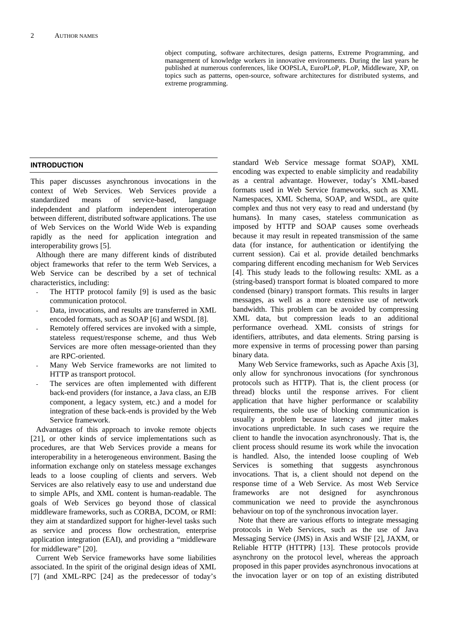object computing, software architectures, design patterns, Extreme Programming, and management of knowledge workers in innovative environments. During the last years he published at numerous conferences, like OOPSLA, EuroPLoP, PLoP, Middleware, XP, on topics such as patterns, open-source, software architectures for distributed systems, and extreme programming.

### **INTRODUCTION**

This paper discusses asynchronous invocations in the context of Web Services. Web Services provide a standardized means of service-based, language indepdendent and platform independent interoperation between different, distributed software applications. The use of Web Services on the World Wide Web is expanding rapidly as the need for application integration and interoperability grows [5].

Although there are many different kinds of distributed object frameworks that refer to the term Web Services, a Web Service can be described by a set of technical characteristics, including:

- The HTTP protocol family [9] is used as the basic communication protocol.
- Data, invocations, and results are transferred in XML encoded formats, such as SOAP [6] and WSDL [8].
- Remotely offered services are invoked with a simple, stateless request/response scheme, and thus Web Services are more often message-oriented than they are RPC-oriented.
- Many Web Service frameworks are not limited to HTTP as transport protocol.
- The services are often implemented with different back-end providers (for instance, a Java class, an EJB component, a legacy system, etc.) and a model for integration of these back-ends is provided by the Web Service framework.

Advantages of this approach to invoke remote objects [21], or other kinds of service implementations such as procedures, are that Web Services provide a means for interoperability in a heterogeneous environment. Basing the information exchange only on stateless message exchanges leads to a loose coupling of clients and servers. Web Services are also relatively easy to use and understand due to simple APIs, and XML content is human-readable. The goals of Web Services go beyond those of classical middleware frameworks, such as CORBA, DCOM, or RMI: they aim at standardized support for higher-level tasks such as service and process flow orchestration, enterprise application integration (EAI), and providing a "middleware for middleware" [20].

Current Web Service frameworks have some liabilities associated. In the spirit of the original design ideas of XML [7] (and XML-RPC [24] as the predecessor of today's standard Web Service message format SOAP), XML encoding was expected to enable simplicity and readability as a central advantage. However, today's XML-based formats used in Web Service frameworks, such as XML Namespaces, XML Schema, SOAP, and WSDL, are quite complex and thus not very easy to read and understand (by humans). In many cases, stateless communication as imposed by HTTP and SOAP causes some overheads because it may result in repeated transmission of the same data (for instance, for authentication or identifying the current session). Cai et al. provide detailed benchmarks comparing different encoding mechanism for Web Services [4]. This study leads to the following results: XML as a (string-based) transport format is bloated compared to more condensed (binary) transport formats. This results in larger messages, as well as a more extensive use of network bandwidth. This problem can be avoided by compressing XML data, but compression leads to an additional performance overhead. XML consists of strings for identifiers, attributes, and data elements. String parsing is more expensive in terms of processing power than parsing binary data.

Many Web Service frameworks, such as Apache Axis [3], only allow for synchronous invocations (for synchronous protocols such as HTTP). That is, the client process (or thread) blocks until the response arrives. For client application that have higher performance or scalability requirements, the sole use of blocking communication is usually a problem because latency and jitter makes invocations unpredictable. In such cases we require the client to handle the invocation asynchronously. That is, the client process should resume its work while the invocation is handled. Also, the intended loose coupling of Web Services is something that suggests asynchronous invocations. That is, a client should not depend on the response time of a Web Service. As most Web Service frameworks are not designed for asynchronous communication we need to provide the asynchronous behaviour on top of the synchronous invocation layer.

Note that there are various efforts to integrate messaging protocols in Web Services, such as the use of Java Messaging Service (JMS) in Axis and WSIF [2], JAXM, or Reliable HTTP (HTTPR) [13]. These protocols provide asynchrony on the protocol level, whereas the approach proposed in this paper provides asynchronous invocations at the invocation layer or on top of an existing distributed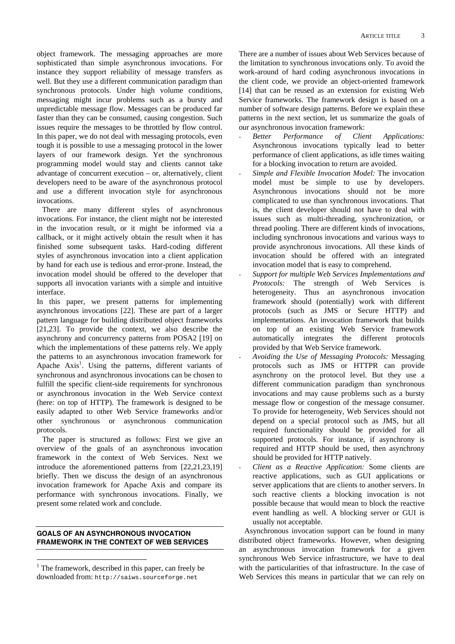object framework. The messaging approaches are more sophisticated than simple asynchronous invocations. For instance they support reliability of message transfers as well. But they use a different communication paradigm than synchronous protocols. Under high volume conditions, messaging might incur problems such as a bursty and unpredictable message flow. Messages can be produced far faster than they can be consumed, causing congestion. Such issues require the messages to be throttled by flow control. In this paper, we do not deal with messaging protocols, even tough it is possible to use a messaging protocol in the lower layers of our framework design. Yet the synchronous programming model would stay and clients cannot take advantage of concurrent execution – or, alternatively, client developers need to be aware of the asynchronous protocol and use a different invocation style for asynchronous invocations.

There are many different styles of asynchronous invocations. For instance, the client might not be interested in the invocation result, or it might be informed via a callback, or it might actively obtain the result when it has finished some subsequent tasks. Hard-coding different styles of asynchronous invocation into a client application by hand for each use is tedious and error-prone. Instead, the invocation model should be offered to the developer that supports all invocation variants with a simple and intuitive interface.

In this paper, we present patterns for implementing asynchronous invocations [22]. These are part of a larger pattern language for building distributed object frameworks [21,23]. To provide the context, we also describe the asynchrony and concurrency patterns from POSA2 [19] on which the implementations of these patterns rely. We apply the patterns to an asynchronous invocation framework for Apache Axis<sup>1</sup>. Using the patterns, different variants of synchronous and asynchronous invocations can be chosen to fulfill the specific client-side requirements for synchronous or asynchronous invocation in the Web Service context (here: on top of HTTP). The framework is designed to be easily adapted to other Web Service frameworks and/or other synchronous or asynchronous communication protocols.

The paper is structured as follows: First we give an overview of the goals of an asynchronous invocation framework in the context of Web Services. Next we introduce the aforementioned patterns from [22,21,23,19] briefly. Then we discuss the design of an asynchronous invocation framework for Apache Axis and compare its performance with synchronous invocations. Finally, we present some related work and conclude.

### **GOALS OF AN ASYNCHRONOUS INVOCATION FRAMEWORK IN THE CONTEXT OF WEB SERVICES**

There are a number of issues about Web Services because of the limitation to synchronous invocations only. To avoid the work-around of hard coding asynchronous invocations in the client code, we provide an object-oriented framework [14] that can be reused as an extension for existing Web Service frameworks. The framework design is based on a number of software design patterns. Before we explain these patterns in the next section, let us summarize the goals of our asynchronous invocation framework:

- *Better Performance of Client Applications:* Asynchronous invocations typically lead to better performance of client applications, as idle times waiting for a blocking invocation to return are avoided.
- *Simple and Flexible Invocation Model:* The invocation model must be simple to use by developers. Asynchronous invocations should not be more complicated to use than synchronous invocations. That is, the client developer should not have to deal with issues such as multi-threading, synchronization, or thread pooling. There are different kinds of invocations, including synchronous invocations and various ways to provide asynchronous invocations. All these kinds of invocation should be offered with an integrated invocation model that is easy to comprehend.
- *Support for multiple Web Services Implementations and Protocols:* The strength of Web Services is heterogeneity. Thus an asynchronous invocation framework should (potentially) work with different protocols (such as JMS or Secure HTTP) and implementations. An invocation framework that builds on top of an existing Web Service framework automatically integrates the different protocols provided by that Web Service framework.
- *Avoiding the Use of Messaging Protocols:* Messaging protocols such as JMS or HTTPR can provide asynchrony on the protocol level. But they use a different communication paradigm than synchronous invocations and may cause problems such as a bursty message flow or congestion of the message consumer. To provide for heterogeneity, Web Services should not depend on a special protocol such as JMS, but all required functionality should be provided for all supported protocols. For instance, if asynchrony is required and HTTP should be used, then asynchrony should be provided for HTTP natively.
- *Client as a Reactive Application:* Some clients are reactive applications, such as GUI applications or server applications that are clients to another servers. In such reactive clients a blocking invocation is not possible because that would mean to block the reactive event handling as well. A blocking server or GUI is usually not acceptable.

Asynchronous invocation support can be found in many distributed object frameworks. However, when designing an asynchronous invocation framework for a given synchronous Web Service infrastructure, we have to deal with the particularities of that infrastructure. In the case of Web Services this means in particular that we can rely on

 $\overline{a}$  $<sup>1</sup>$  The framework, described in this paper, can freely be</sup> downloaded from: http://saiws.sourceforge.net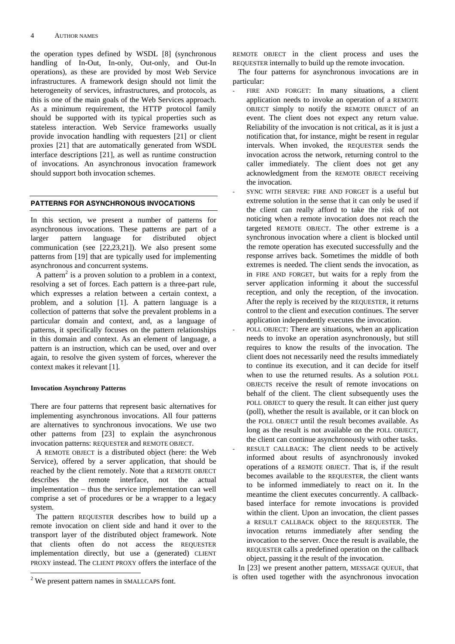the operation types defined by WSDL [8] (synchronous handling of In-Out, In-only, Out-only, and Out-In operations), as these are provided by most Web Service infrastructures. A framework design should not limit the heterogeneity of services, infrastructures, and protocols, as this is one of the main goals of the Web Services approach. As a minimum requirement, the HTTP protocol family should be supported with its typical properties such as stateless interaction. Web Service frameworks usually provide invocation handling with requesters [21] or client proxies [21] that are automatically generated from WSDL interface descriptions [21], as well as runtime construction of invocations. An asynchronous invocation framework should support both invocation schemes.

### **PATTERNS FOR ASYNCHRONOUS INVOCATIONS**

In this section, we present a number of patterns for asynchronous invocations. These patterns are part of a larger pattern language for distributed object communication (see [22,23,21]). We also present some patterns from [19] that are typically used for implementing asynchronous and concurrent systems.

A pattern<sup>2</sup> is a proven solution to a problem in a context, resolving a set of forces. Each pattern is a three-part rule, which expresses a relation between a certain context, a problem, and a solution [1]. A pattern language is a collection of patterns that solve the prevalent problems in a particular domain and context, and, as a language of patterns, it specifically focuses on the pattern relationships in this domain and context. As an element of language, a pattern is an instruction, which can be used, over and over again, to resolve the given system of forces, wherever the context makes it relevant [1].

### **Invocation Asynchrony Patterns**

There are four patterns that represent basic alternatives for implementing asynchronous invocations. All four patterns are alternatives to synchronous invocations. We use two other patterns from [23] to explain the asynchronous invocation patterns: REQUESTER and REMOTE OBJECT.

A REMOTE OBJECT is a distributed object (here: the Web Service), offered by a server application, that should be reached by the client remotely. Note that a REMOTE OBJECT describes the remote interface, not the actual implementation – thus the service implementation can well comprise a set of procedures or be a wrapper to a legacy system.

The pattern REQUESTER describes how to build up a remote invocation on client side and hand it over to the transport layer of the distributed object framework. Note that clients often do not access the REQUESTER implementation directly, but use a (generated) CLIENT PROXY instead. The CLIENT PROXY offers the interface of the

REMOTE OBJECT in the client process and uses the REQUESTER internally to build up the remote invocation.

The four patterns for asynchronous invocations are in particular:

- FIRE AND FORGET: In many situations, a client application needs to invoke an operation of a REMOTE OBJECT simply to notify the REMOTE OBJECT of an event. The client does not expect any return value. Reliability of the invocation is not critical, as it is just a notification that, for instance, might be resent in regular intervals. When invoked, the REQUESTER sends the invocation across the network, returning control to the caller immediately. The client does not get any acknowledgment from the REMOTE OBJECT receiving the invocation.
- SYNC WITH SERVER: FIRE AND FORGET is a useful but extreme solution in the sense that it can only be used if the client can really afford to take the risk of not noticing when a remote invocation does not reach the targeted REMOTE OBJECT. The other extreme is a synchronous invocation where a client is blocked until the remote operation has executed successfully and the response arrives back. Sometimes the middle of both extremes is needed. The client sends the invocation, as in FIRE AND FORGET, but waits for a reply from the server application informing it about the successful reception, and only the reception, of the invocation. After the reply is received by the REQUESTER, it returns control to the client and execution continues. The server application independently executes the invocation.
- POLL OBJECT: There are situations, when an application needs to invoke an operation asynchronously, but still requires to know the results of the invocation. The client does not necessarily need the results immediately to continue its execution, and it can decide for itself when to use the returned results. As a solution POLL OBJECTS receive the result of remote invocations on behalf of the client. The client subsequently uses the POLL OBJECT to query the result. It can either just query (poll), whether the result is available, or it can block on the POLL OBJECT until the result becomes available. As long as the result is not available on the POLL OBJECT, the client can continue asynchronously with other tasks. RESULT CALLBACK: The client needs to be actively informed about results of asynchronously invoked operations of a REMOTE OBJECT. That is, if the result becomes available to the REQUESTER, the client wants to be informed immediately to react on it. In the meantime the client executes concurrently. A callbackbased interface for remote invocations is provided within the client. Upon an invocation, the client passes a RESULT CALLBACK object to the REQUESTER. The invocation returns immediately after sending the invocation to the server. Once the result is available, the REQUESTER calls a predefined operation on the callback object, passing it the result of the invocation.

In [23] we present another pattern, MESSAGE QUEUE, that is often used together with the asynchronous invocation

<sup>&</sup>lt;sup>2</sup> We present pattern names in SMALLCAPS font.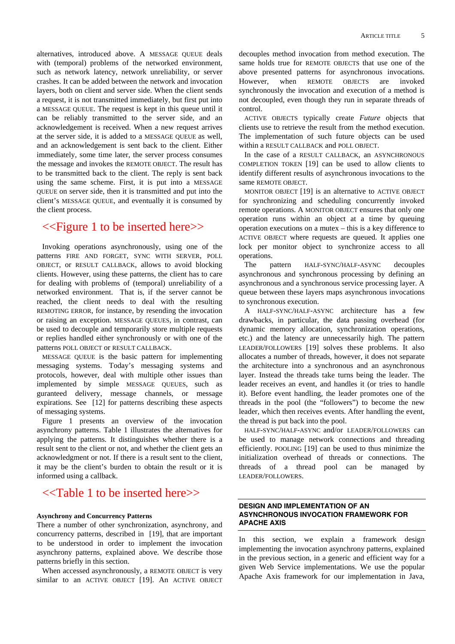alternatives, introduced above. A MESSAGE QUEUE deals with (temporal) problems of the networked environment, such as network latency, network unreliability, or server crashes. It can be added between the network and invocation layers, both on client and server side. When the client sends a request, it is not transmitted immediately, but first put into a MESSAGE QUEUE. The request is kept in this queue until it can be reliably transmitted to the server side, and an acknowledgement is received. When a new request arrives at the server side, it is added to a MESSAGE QUEUE as well, and an acknowledgement is sent back to the client. Either immediately, some time later, the server process consumes the message and invokes the REMOTE OBJECT. The result has to be transmitted back to the client. The reply is sent back using the same scheme. First, it is put into a MESSAGE QUEUE on server side, then it is transmitted and put into the client's MESSAGE QUEUE, and eventually it is consumed by the client process.

# <<Figure 1 to be inserted here>>

Invoking operations asynchronously, using one of the patterns FIRE AND FORGET, SYNC WITH SERVER, POLL OBJECT, or RESULT CALLBACK, allows to avoid blocking clients. However, using these patterns, the client has to care for dealing with problems of (temporal) unreliability of a networked environment. That is, if the server cannot be reached, the client needs to deal with the resulting REMOTING ERROR, for instance, by resending the invocation or raising an exception. MESSAGE QUEUES, in contrast, can be used to decouple and temporarily store multiple requests or replies handled either synchronously or with one of the patterns POLL OBJECT or RESULT CALLBACK.

MESSAGE QUEUE is the basic pattern for implementing messaging systems. Today's messaging systems and protocols, however, deal with multiple other issues than implemented by simple MESSAGE QUEUES, such as guranteed delivery, message channels, or message expirations. See [12] for patterns describing these aspects of messaging systems.

Figure 1 presents an overview of the invocation asynchrony patterns. Table 1 illustrates the alternatives for applying the patterns. It distinguishes whether there is a result sent to the client or not, and whether the client gets an acknowledgment or not. If there is a result sent to the client, it may be the client's burden to obtain the result or it is informed using a callback.

# <<Table 1 to be inserted here>>

### **Asynchrony and Concurrency Patterns**

There a number of other synchronization, asynchrony, and concurrency patterns, described in [19], that are important to be understood in order to implement the invocation asynchrony patterns, explained above. We describe those patterns briefly in this section.

When accessed asynchronously, a REMOTE OBJECT is very similar to an ACTIVE OBJECT [19]. An ACTIVE OBJECT

decouples method invocation from method execution. The same holds true for REMOTE OBJECTS that use one of the above presented patterns for asynchronous invocations. However, when REMOTE OBJECTS are invoked synchronously the invocation and execution of a method is not decoupled, even though they run in separate threads of control.

ACTIVE OBJECTS typically create *Future* objects that clients use to retrieve the result from the method execution. The implementation of such future objects can be used within a RESULT CALLBACK and POLL OBJECT.

In the case of a RESULT CALLBACK, an ASYNCHRONOUS COMPLETION TOKEN [19] can be used to allow clients to identify different results of asynchronous invocations to the same REMOTE OBJECT.

MONITOR OBJECT [19] is an alternative to ACTIVE OBJECT for synchronizing and scheduling concurrently invoked remote operations. A MONITOR OBJECT ensures that only one operation runs within an object at a time by queuing operation executions on a mutex – this is a key difference to ACTIVE OBJECT where requests are queued. It applies one lock per monitor object to synchronize access to all operations.

The pattern HALF-SYNC/HALF-ASYNC decouples asynchronous and synchronous processing by defining an asynchronous and a synchronous service processing layer. A queue between these layers maps asynchronous invocations to synchronous execution.

A HALF-SYNC/HALF-ASYNC architecture has a few drawbacks, in particular, the data passing overhead (for dynamic memory allocation, synchronization operations, etc.) and the latency are unnecessarily high. The pattern LEADER/FOLLOWERS [19] solves these problems. It also allocates a number of threads, however, it does not separate the architecture into a synchronous and an asynchronous layer. Instead the threads take turns being the leader. The leader receives an event, and handles it (or tries to handle it). Before event handling, the leader promotes one of the threads in the pool (the "followers") to become the new leader, which then receives events. After handling the event, the thread is put back into the pool.

HALF-SYNC/HALF-ASYNC and/or LEADER/FOLLOWERS can be used to manage network connections and threading efficiently. POOLING [19] can be used to thus minimize the initialization overhead of threads or connections. The threads of a thread pool can be managed by LEADER/FOLLOWERS.

### **DESIGN AND IMPLEMENTATION OF AN ASYNCHRONOUS INVOCATION FRAMEWORK FOR APACHE AXIS**

In this section, we explain a framework design implementing the invocation asynchrony patterns, explained in the previous section, in a generic and efficient way for a given Web Service implementations. We use the popular Apache Axis framework for our implementation in Java,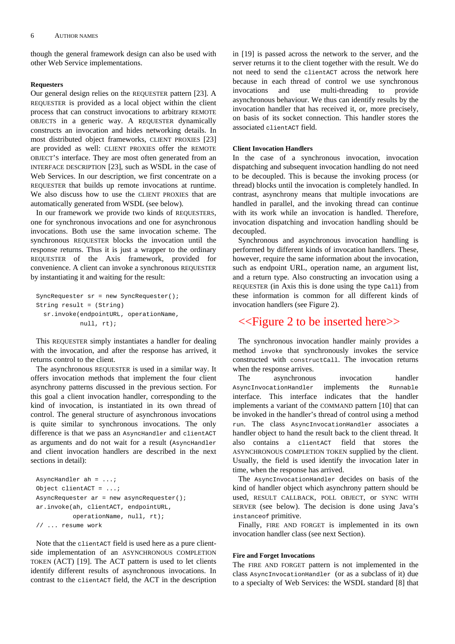though the general framework design can also be used with other Web Service implementations.

### **Requesters**

Our general design relies on the REQUESTER pattern [23]. A REQUESTER is provided as a local object within the client process that can construct invocations to arbitrary REMOTE OBJECTS in a generic way. A REQUESTER dynamically constructs an invocation and hides networking details. In most distributed object frameworks, CLIENT PROXIES [23] are provided as well: CLIENT PROXIES offer the REMOTE OBJECT'S interface. They are most often generated from an INTERFACE DESCRIPTION [23], such as WSDL in the case of Web Services. In our description, we first concentrate on a REQUESTER that builds up remote invocations at runtime. We also discuss how to use the CLIENT PROXIES that are automatically generated from WSDL (see below).

In our framework we provide two kinds of REQUESTERS, one for synchronous invocations and one for asynchronous invocations. Both use the same invocation scheme. The synchronous REQUESTER blocks the invocation until the response returns. Thus it is just a wrapper to the ordinary REQUESTER of the Axis framework, provided for convenience. A client can invoke a synchronous REQUESTER by instantiating it and waiting for the result:

```
SyncRequester sr = new SyncRequester(); 
String result = (String) 
   sr.invoke(endpointURL, operationName, 
             null, rt);
```
This REQUESTER simply instantiates a handler for dealing with the invocation, and after the response has arrived, it returns control to the client.

The asynchronous REQUESTER is used in a similar way. It offers invocation methods that implement the four client asynchrony patterns discussed in the previous section. For this goal a client invocation handler, corresponding to the kind of invocation, is instantiated in its own thread of control. The general structure of asynchronous invocations is quite similar to synchronous invocations. The only difference is that we pass an AsyncHandler and clientACT as arguments and do not wait for a result (AsyncHandler and client invocation handlers are described in the next sections in detail):

```
AsyncHandler ah = ...; 
Object clientACT = ...; 
AsyncRequester ar = new asyncRequester(); 
ar.invoke(ah, clientACT, endpointURL, 
           operationName, null, rt); 
// ... resume work
```
Note that the clientACT field is used here as a pure clientside implementation of an ASYNCHRONOUS COMPLETION TOKEN (ACT) [19]. The ACT pattern is used to let clients identify different results of asynchronous invocations. In contrast to the clientACT field, the ACT in the description in [19] is passed across the network to the server, and the server returns it to the client together with the result. We do not need to send the clientACT across the network here because in each thread of control we use synchronous invocations and use multi-threading to provide asynchronous behaviour. We thus can identify results by the invocation handler that has received it, or, more precisely, on basis of its socket connection. This handler stores the associated clientACT field.

### **Client Invocation Handlers**

In the case of a synchronous invocation, invocation dispatching and subsequent invocation handling do not need to be decoupled. This is because the invoking process (or thread) blocks until the invocation is completely handled. In contrast, asynchrony means that multiple invocations are handled in parallel, and the invoking thread can continue with its work while an invocation is handled. Therefore, invocation dispatching and invocation handling should be decoupled.

Synchronous and asynchronous invocation handling is performed by different kinds of invocation handlers. These, however, require the same information about the invocation, such as endpoint URL, operation name, an argument list, and a return type. Also constructing an invocation using a REQUESTER (in Axis this is done using the type Call) from these information is common for all different kinds of invocation handlers (see Figure 2).

## <<Figure 2 to be inserted here>>

The synchronous invocation handler mainly provides a method invoke that synchronously invokes the service constructed with constructCall. The invocation returns when the response arrives.

The asynchronous invocation handler AsyncInvocationHandler implements the Runnable interface. This interface indicates that the handler implements a variant of the COMMAND pattern [10] that can be invoked in the handler's thread of control using a method run. The class AsyncInvocationHandler associates a handler object to hand the result back to the client thread. It also contains a clientACT field that stores the ASYNCHRONOUS COMPLETION TOKEN supplied by the client. Usually, the field is used identify the invocation later in time, when the response has arrived.

The AsyncInvocationHandler decides on basis of the kind of handler object which asynchrony pattern should be used, RESULT CALLBACK, POLL OBJECT, or SYNC WITH SERVER (see below). The decision is done using Java's instanceof primitive.

Finally, FIRE AND FORGET is implemented in its own invocation handler class (see next Section).

### **Fire and Forget Invocations**

The FIRE AND FORGET pattern is not implemented in the class AsyncInvocationHandler (or as a subclass of it) due to a specialty of Web Services: the WSDL standard [8] that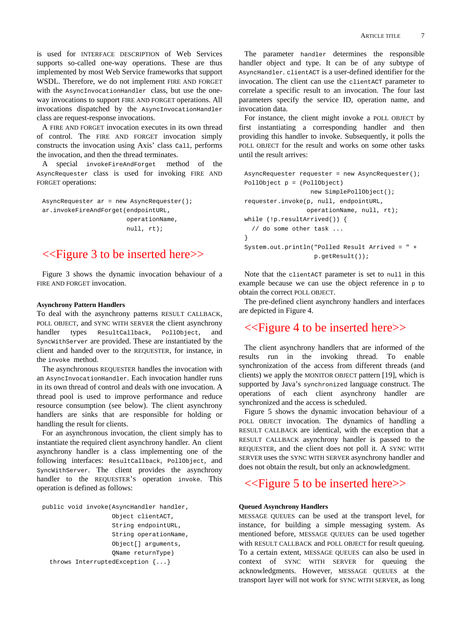is used for INTERFACE DESCRIPTION of Web Services supports so-called one-way operations. These are thus implemented by most Web Service frameworks that support WSDL. Therefore, we do not implement FIRE AND FORGET with the AsyncInvocationHandler class, but use the oneway invocations to support FIRE AND FORGET operations. All invocations dispatched by the AsyncInvocationHandler class are request-response invocations.

A FIRE AND FORGET invocation executes in its own thread of control. The FIRE AND FORGET invocation simply constructs the invocation using Axis' class Call, performs the invocation, and then the thread terminates.

A special invokeFireAndForget method of the AsyncRequester class is used for invoking FIRE AND FORGET operations:

AsyncRequester ar = new AsyncRequester(); ar.invokeFireAndForget(endpointURL, operationName, null, rt);

# <<Figure 3 to be inserted here>>

Figure 3 shows the dynamic invocation behaviour of a FIRE AND FORGET invocation.

### **Asynchrony Pattern Handlers**

To deal with the asynchrony patterns RESULT CALLBACK, POLL OBJECT, and SYNC WITH SERVER the client asynchrony handler types ResultCallback, PollObject, and SyncWithServer are provided. These are instantiated by the client and handed over to the REQUESTER, for instance, in the invoke method.

The asynchronous REQUESTER handles the invocation with an AsyncInvocationHandler. Each invocation handler runs in its own thread of control and deals with one invocation. A thread pool is used to improve performance and reduce resource consumption (see below). The client asynchrony handlers are sinks that are responsible for holding or handling the result for clients.

For an asynchronous invocation, the client simply has to instantiate the required client asynchrony handler. An client asynchrony handler is a class implementing one of the following interfaces: ResultCallback, PollObject, and SyncWithServer. The client provides the asynchrony handler to the REQUESTER'S operation invoke. This operation is defined as follows:

```
public void invoke(AsyncHandler handler, 
                     Object clientACT, 
                      String endpointURL, 
                      String operationName, 
                      Object[] arguments, 
                      QName returnType) 
   throws InterruptedException {...}
```
The parameter handler determines the responsible handler object and type. It can be of any subtype of AsyncHandler. clientACT is a user-defined identifier for the invocation. The client can use the clientACT parameter to correlate a specific result to an invocation. The four last parameters specify the service ID, operation name, and invocation data.

For instance, the client might invoke a POLL OBJECT by first instantiating a corresponding handler and then providing this handler to invoke. Subsequently, it polls the POLL OBJECT for the result and works on some other tasks until the result arrives:

```
AsyncRequester requester = new AsyncRequester();
PollObject p = (PollObject) 
                   new SimplePollObject(); 
requester.invoke(p, null, endpointURL, 
                   operationName, null, rt); 
while (!p.resultArrived()) { 
   // do some other task ... 
} 
System.out.println("Polled Result Arrived = " + 
                     p.getResult());
```
Note that the clientACT parameter is set to null in this example because we can use the object reference in  $\phi$  to obtain the correct POLL OBJECT.

The pre-defined client asynchrony handlers and interfaces are depicted in Figure 4.

# <<Figure 4 to be inserted here>>

The client asynchrony handlers that are informed of the results run in the invoking thread. To enable synchronization of the access from different threads (and clients) we apply the MONITOR OBJECT pattern [19], which is supported by Java's synchronized language construct. The operations of each client asynchrony handler are synchronized and the access is scheduled.

Figure 5 shows the dynamic invocation behaviour of a POLL OBJECT invocation. The dynamics of handling a RESULT CALLBACK are identical, with the exception that a RESULT CALLBACK asynchrony handler is passed to the REQUESTER, and the client does not poll it. A SYNC WITH SERVER uses the SYNC WITH SERVER asynchrony handler and does not obtain the result, but only an acknowledgment.

# <<Figure 5 to be inserted here>>

### **Queued Asynchrony Handlers**

MESSAGE QUEUES can be used at the transport level, for instance, for building a simple messaging system. As mentioned before, MESSAGE QUEUES can be used together with RESULT CALLBACK and POLL OBJECT for result queuing. To a certain extent, MESSAGE QUEUES can also be used in context of SYNC WITH SERVER for queuing the acknowledgments. However, MESSAGE QUEUES at the transport layer will not work for SYNC WITH SERVER, as long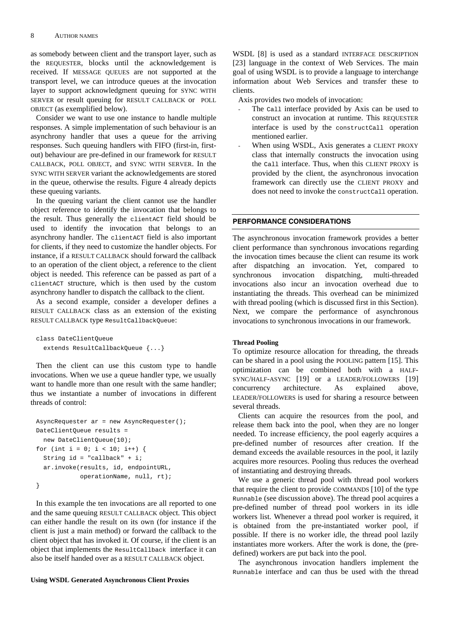as somebody between client and the transport layer, such as the REQUESTER, blocks until the acknowledgement is received. If MESSAGE QUEUES are not supported at the transport level, we can introduce queues at the invocation layer to support acknowledgment queuing for SYNC WITH SERVER or result queuing for RESULT CALLBACK or POLL OBJECT (as exemplified below).

Consider we want to use one instance to handle multiple responses. A simple implementation of such behaviour is an asynchrony handler that uses a queue for the arriving responses. Such queuing handlers with FIFO (first-in, firstout) behaviour are pre-defined in our framework for RESULT CALLBACK, POLL OBJECT, and SYNC WITH SERVER. In the SYNC WITH SERVER variant the acknowledgements are stored in the queue, otherwise the results. Figure 4 already depicts these queuing variants.

In the queuing variant the client cannot use the handler object reference to identify the invocation that belongs to the result. Thus generally the clientACT field should be used to identify the invocation that belongs to an asynchrony handler. The clientACT field is also important for clients, if they need to customize the handler objects. For instance, if a RESULT CALLBACK should forward the callback to an operation of the client object, a reference to the client object is needed. This reference can be passed as part of a clientACT structure, which is then used by the custom asynchrony handler to dispatch the callback to the client.

As a second example, consider a developer defines a RESULT CALLBACK class as an extension of the existing RESULT CALLBACK type ResultCallbackQueue:

```
class DateClientQueue 
   extends ResultCallbackQueue {...}
```
Then the client can use this custom type to handle invocations. When we use a queue handler type, we usually want to handle more than one result with the same handler: thus we instantiate a number of invocations in different threads of control:

```
AsyncRequester ar = new AsyncRequester(); 
DateClientQueue results = 
   new DateClientQueue(10); 
for (int i = 0; i < 10; i++) {
  String id = "callback" + i; ar.invoke(results, id, endpointURL, 
             operationName, null, rt); 
}
```
In this example the ten invocations are all reported to one and the same queuing RESULT CALLBACK object. This object can either handle the result on its own (for instance if the client is just a main method) or forward the callback to the client object that has invoked it. Of course, if the client is an object that implements the ResultCallback interface it can also be itself handed over as a RESULT CALLBACK object.

### **Using WSDL Generated Asynchronous Client Proxies**

WSDL [8] is used as a standard INTERFACE DESCRIPTION [23] language in the context of Web Services. The main goal of using WSDL is to provide a language to interchange information about Web Services and transfer these to clients.

Axis provides two models of invocation:

- The call interface provided by Axis can be used to construct an invocation at runtime. This REQUESTER interface is used by the constructCall operation mentioned earlier.
- When using WSDL, Axis generates a CLIENT PROXY class that internally constructs the invocation using the Call interface. Thus, when this CLIENT PROXY is provided by the client, the asynchronous invocation framework can directly use the CLIENT PROXY and does not need to invoke the constructCall operation.

### **PERFORMANCE CONSIDERATIONS**

The asynchronous invocation framework provides a better client performance than synchronous invocations regarding the invocation times because the client can resume its work after dispatching an invocation. Yet, compared to synchronous invocation dispatching, multi-threaded invocations also incur an invocation overhead due to instantiating the threads. This overhead can be minimized with thread pooling (which is discussed first in this Section). Next, we compare the performance of asynchronous invocations to synchronous invocations in our framework.

#### **Thread Pooling**

To optimize resource allocation for threading, the threads can be shared in a pool using the POOLING pattern [15]. This optimization can be combined both with a HALF-SYNC/HALF-ASYNC [19] or a LEADER/FOLLOWERS [19] concurrency architecture. As explained above, LEADER/FOLLOWERS is used for sharing a resource between several threads.

Clients can acquire the resources from the pool, and release them back into the pool, when they are no longer needed. To increase efficiency, the pool eagerly acquires a pre-defined number of resources after creation. If the demand exceeds the available resources in the pool, it lazily acquires more resources. Pooling thus reduces the overhead of instantiating and destroying threads.

We use a generic thread pool with thread pool workers that require the client to provide COMMANDS [10] of the type Runnable (see discussion above). The thread pool acquires a pre-defined number of thread pool workers in its idle workers list. Whenever a thread pool worker is required, it is obtained from the pre-instantiated worker pool, if possible. If there is no worker idle, the thread pool lazily instantiates more workers. After the work is done, the (predefined) workers are put back into the pool.

The asynchronous invocation handlers implement the Runnable interface and can thus be used with the thread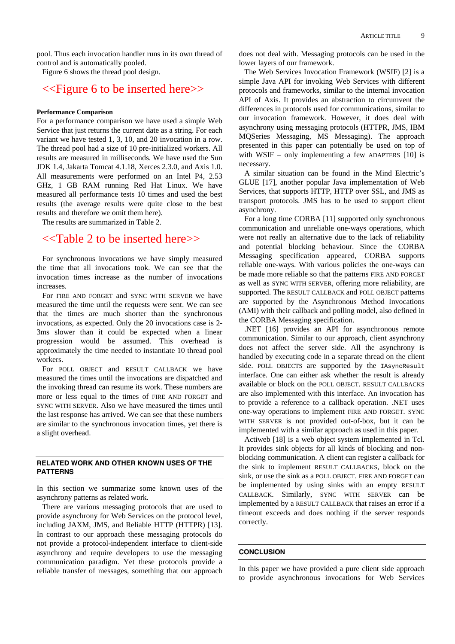pool. Thus each invocation handler runs in its own thread of control and is automatically pooled.

Figure 6 shows the thread pool design.

## <<Figure 6 to be inserted here>>

### **Performance Comparison**

For a performance comparison we have used a simple Web Service that just returns the current date as a string. For each variant we have tested 1, 3, 10, and 20 invocation in a row. The thread pool had a size of 10 pre-initialized workers. All results are measured in milliseconds. We have used the Sun JDK 1.4, Jakarta Tomcat 4.1.18, Xerces 2.3.0, and Axis 1.0. All measurements were performed on an Intel P4, 2.53 GHz, 1 GB RAM running Red Hat Linux. We have measured all performance tests 10 times and used the best results (the average results were quite close to the best results and therefore we omit them here).

The results are summarized in Table 2.

# <<Table 2 to be inserted here>>

For synchronous invocations we have simply measured the time that all invocations took. We can see that the invocation times increase as the number of invocations increases.

For FIRE AND FORGET and SYNC WITH SERVER we have measured the time until the requests were sent. We can see that the times are much shorter than the synchronous invocations, as expected. Only the 20 invocations case is 2- 3ms slower than it could be expected when a linear progression would be assumed. This overhead is approximately the time needed to instantiate 10 thread pool workers.

For POLL OBJECT and RESULT CALLBACK we have measured the times until the invocations are dispatched and the invoking thread can resume its work. These numbers are more or less equal to the times of FIRE AND FORGET and SYNC WITH SERVER. Also we have measured the times until the last response has arrived. We can see that these numbers are similar to the synchronous invocation times, yet there is a slight overhead.

### **RELATED WORK AND OTHER KNOWN USES OF THE PATTERNS**

In this section we summarize some known uses of the asynchrony patterns as related work.

There are various messaging protocols that are used to provide asynchrony for Web Services on the protocol level, including JAXM, JMS, and Reliable HTTP (HTTPR) [13]. In contrast to our approach these messaging protocols do not provide a protocol-independent interface to client-side asynchrony and require developers to use the messaging communication paradigm. Yet these protocols provide a reliable transfer of messages, something that our approach does not deal with. Messaging protocols can be used in the lower layers of our framework.

The Web Services Invocation Framework (WSIF) [2] is a simple Java API for invoking Web Services with different protocols and frameworks, similar to the internal invocation API of Axis. It provides an abstraction to circumvent the differences in protocols used for communications, similar to our invocation framework. However, it does deal with asynchrony using messaging protocols (HTTPR, JMS, IBM MQSeries Messaging, MS Messaging). The approach presented in this paper can potentially be used on top of with WSIF – only implementing a few ADAPTERS  $[10]$  is necessary.

A similar situation can be found in the Mind Electric's GLUE [17], another popular Java implementation of Web Services, that supports HTTP, HTTP over SSL, and JMS as transport protocols. JMS has to be used to support client asynchrony.

For a long time CORBA [11] supported only synchronous communication and unreliable one-ways operations, which were not really an alternative due to the lack of reliability and potential blocking behaviour. Since the CORBA Messaging specification appeared, CORBA supports reliable one-ways. With various policies the one-ways can be made more reliable so that the patterns FIRE AND FORGET as well as SYNC WITH SERVER, offering more reliability, are supported. The RESULT CALLBACK and POLL OBJECT patterns are supported by the Asynchronous Method Invocations (AMI) with their callback and polling model, also defined in the CORBA Messaging specification.

.NET [16] provides an API for asynchronous remote communication. Similar to our approach, client asynchrony does not affect the server side. All the asynchrony is handled by executing code in a separate thread on the client side. POLL OBJECTS are supported by the IAsyncResult interface. One can either ask whether the result is already available or block on the POLL OBJECT. RESULT CALLBACKS are also implemented with this interface. An invocation has to provide a reference to a callback operation. .NET uses one-way operations to implement FIRE AND FORGET. SYNC WITH SERVER is not provided out-of-box, but it can be implemented with a similar approach as used in this paper.

Actiweb [18] is a web object system implemented in Tcl. It provides sink objects for all kinds of blocking and nonblocking communication. A client can register a callback for the sink to implement RESULT CALLBACKS, block on the sink, or use the sink as a POLL OBJECT. FIRE AND FORGET can be implemented by using sinks with an empty RESULT CALLBACK. Similarly, SYNC WITH SERVER can be implemented by a RESULT CALLBACK that raises an error if a timeout exceeds and does nothing if the server responds correctly.

### **CONCLUSION**

In this paper we have provided a pure client side approach to provide asynchronous invocations for Web Services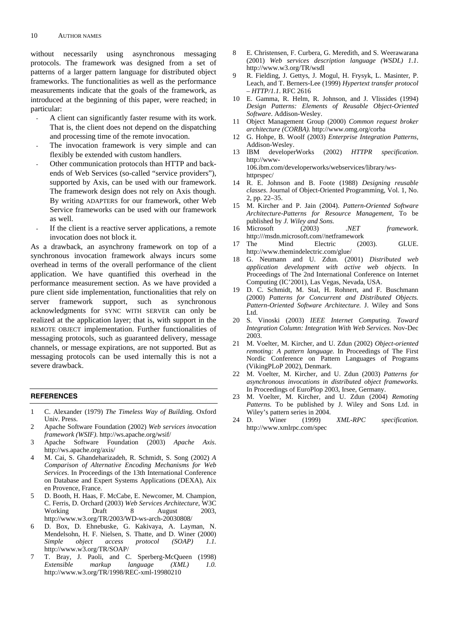without necessarily using asynchronous messaging protocols. The framework was designed from a set of patterns of a larger pattern language for distributed object frameworks. The functionalities as well as the performance measurements indicate that the goals of the framework, as introduced at the beginning of this paper, were reached; in particular:

- A client can significantly faster resume with its work. That is, the client does not depend on the dispatching and processing time of the remote invocation.
- The invocation framework is very simple and can flexibly be extended with custom handlers.
- Other communication protocols than HTTP and backends of Web Services (so-called "service providers"), supported by Axis, can be used with our framework. The framework design does not rely on Axis though. By writing ADAPTERS for our framework, other Web Service frameworks can be used with our framework as well.
- If the client is a reactive server applications, a remote invocation does not block it.

As a drawback, an asynchrony framework on top of a synchronous invocation framework always incurs some overhead in terms of the overall performance of the client application. We have quantified this overhead in the performance measurement section. As we have provided a pure client side implementation, functionalities that rely on server framework support, such as synchronous acknowledgments for SYNC WITH SERVER can only be realized at the application layer; that is, with support in the REMOTE OBJECT implementation. Further functionalities of messaging protocols, such as guaranteed delivery, message channels, or message expirations, are not supported. But as messaging protocols can be used internally this is not a severe drawback.

### **REFERENCES**

- 1 C. Alexander (1979) *The Timeless Way of Buildin*g. Oxford Univ. Press.
- 2 Apache Software Foundation (2002) *Web services invocation framework (WSIF)*. http://ws.apache.org/wsif/
- 3 Apache Software Foundation (2003) *Apache Axis*. http://ws.apache.org/axis/
- 4 M. Cai, S. Ghandeharizadeh, R. Schmidt, S. Song (2002) *A Comparison of Alternative Encoding Mechanisms for Web Services*. In Proceedings of the 13th International Conference on Database and Expert Systems Applications (DEXA), Aix en Provence, France.
- 5 D. Booth, H. Haas, F. McCabe, E. Newcomer, M. Champion, C. Ferris, D. Orchard (2003) *Web Services Architecture*, W3C Working Draft 8 August 2003, http://www.w3.org/TR/2003/WD-ws-arch-20030808/
- 6 D. Box, D. Ehnebuske, G. Kakivaya, A. Layman, N. Mendelsohn, H. F. Nielsen, S. Thatte, and D. Winer (2000) *Simple object access protocol (SOAP) 1.1.* http://www.w3.org/TR/SOAP/
- 7 T. Bray, J. Paoli, and C. Sperberg-McQueen (1998) *Extensible markup language (XML) 1.0.* http://www.w3.org/TR/1998/REC-xml-19980210
- 8 E. Christensen, F. Curbera, G. Meredith, and S. Weerawarana (2001) *Web services description language (WSDL) 1.1*. http://www.w3.org/TR/wsdl
- 9 R. Fielding, J. Gettys, J. Mogul, H. Frysyk, L. Masinter, P. Leach, and T. Berners-Lee (1999) *Hypertext transfer protocol – HTTP/1.1*. RFC 2616
- 10 E. Gamma, R. Helm, R. Johnson, and J. Vlissides (1994) *Design Patterns: Elements of Reusable Object-Oriented Software*. Addison-Wesley.
- 11 Object Management Group (2000) *Common request broker architecture (CORBA).* http://www.omg.org/corba
- 12 G. Hohpe, B. Woolf (2003) *Enterprise Integration Patterns*, Addison-Wesley.<br>13 IBM developer
- developerWorks (2002) *HTTPR specification*. http://www-106.ibm.com/developerworks/webservices/library/wshttprspec/
- 14 R. E. Johnson and B. Foote (1988) *Designing reusable classes*. Journal of Object-Oriented Programming, Vol. 1, No. 2, pp. 22–35.
- 15 M. Kircher and P. Jain (2004). *Pattern-Oriented Software Architecture-Patterns for Resource Management,* To be published by *J. Wiley and Sons.*
- 16 Microsoft (2003) *.NET framework*. http:///msdn.microsoft.com//netframework
- 17 The Mind Electric (2003). GLUE. http://www.themindelectric.com/glue/
- 18 G. Neumann and U. Zdun. (2001) *Distributed web application development with active web objects.* In Proceedings of The 2nd International Conference on Internet Computing (IC'2001), Las Vegas, Nevada, USA.
- 19 D. C. Schmidt, M. Stal, H. Rohnert, and F. Buschmann (2000) *Patterns for Concurrent and Distributed Objects. Pattern-Oriented Software Architecture.* J. Wiley and Sons Ltd.
- 20 S. Vinoski (2003) *IEEE Internet Computing. Toward Integration Column: Integration With Web Services.* Nov-Dec 2003.
- 21 M. Voelter, M. Kircher, and U. Zdun (2002) *Object-oriented remoting: A pattern language.* In Proceedings of The First Nordic Conference on Pattern Languages of Programs (VikingPLoP 2002), Denmark.
- 22 M. Voelter, M. Kircher, and U. Zdun (2003) *Patterns for asynchronous invocations in distributed object frameworks.* In Proceedings of EuroPlop 2003, Irsee, Germany.
- 23 M. Voelter, M. Kircher, and U. Zdun (2004) *Remoting Patterns*. To be published by J. Wiley and Sons Ltd. in Wiley's pattern series in 2004.
- 24 D. Winer (1999) *XML-RPC specification.* http://www.xmlrpc.com/spec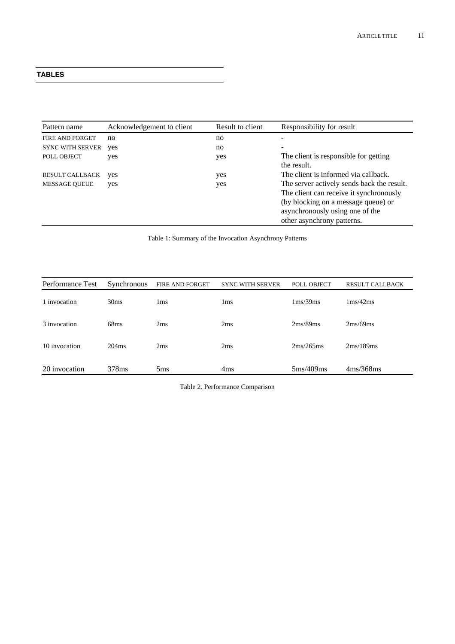### **TABLES**

| Pattern name            | Acknowledgement to client | Result to client | Responsibility for result                                                                                                                                                                     |
|-------------------------|---------------------------|------------------|-----------------------------------------------------------------------------------------------------------------------------------------------------------------------------------------------|
| FIRE AND FORGET         | no                        | no               | -                                                                                                                                                                                             |
| <b>SYNC WITH SERVER</b> | yes                       | no               | $\overline{\phantom{a}}$                                                                                                                                                                      |
| POLL OBJECT             | yes                       | yes              | The client is responsible for getting<br>the result.                                                                                                                                          |
| <b>RESULT CALLBACK</b>  | yes                       | yes              | The client is informed via callback.                                                                                                                                                          |
| <b>MESSAGE QUEUE</b>    | yes                       | yes              | The server actively sends back the result.<br>The client can receive it synchronously<br>(by blocking on a message queue) or<br>asynchronously using one of the<br>other asynchrony patterns. |

Table 1: Summary of the Invocation Asynchrony Patterns

| Performance Test | <b>Synchronous</b> | FIRE AND FORGET | <b>SYNC WITH SERVER</b> | POLL OBJECT                 | <b>RESULT CALLBACK</b>     |
|------------------|--------------------|-----------------|-------------------------|-----------------------------|----------------------------|
| 1 invocation     | 30 <sub>ms</sub>   | 1ms             | 1 <sub>ms</sub>         | $1 \text{ms}/39 \text{ms}$  | $1 \text{ms}/42 \text{ms}$ |
| 3 invocation     | 68ms               | 2ms             | 2ms                     | 2ms/89ms                    | 2ms/69ms                   |
| 10 invocation    | 204ms              | 2ms             | 2ms                     | 2ms/265ms                   | 2ms/189ms                  |
| 20 invocation    | 378 <sub>ms</sub>  | 5 <sub>ms</sub> | 4 <sub>ms</sub>         | $5 \text{ms}/409 \text{ms}$ | 4ms/368ms                  |

Table 2. Performance Comparison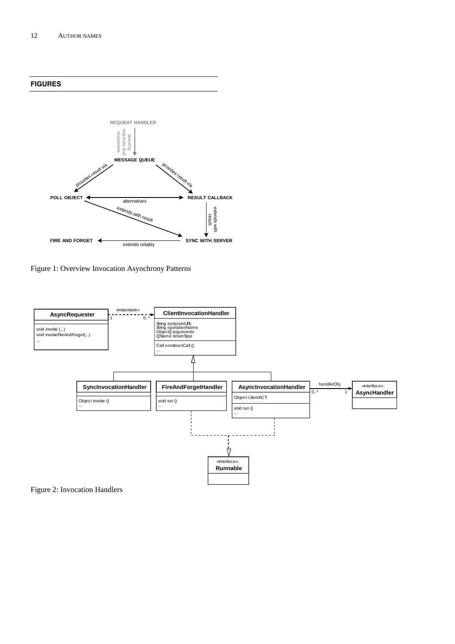**FIGURES** 



Figure 1: Overview Invocation Asynchrony Patterns



Figure 2: Invocation Handlers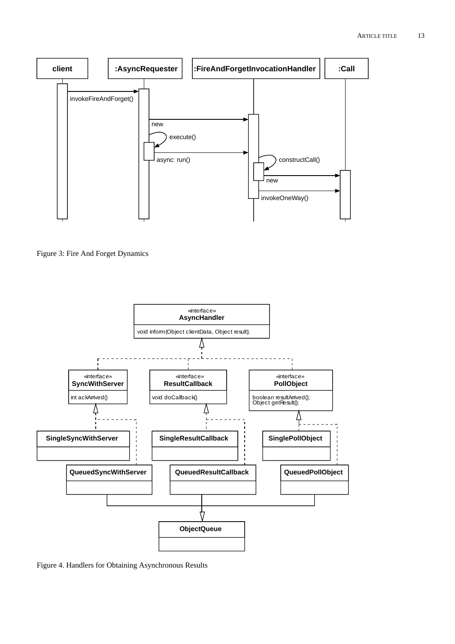

Figure 3: Fire And Forget Dynamics



Figure 4. Handlers for Obtaining Asynchronous Results